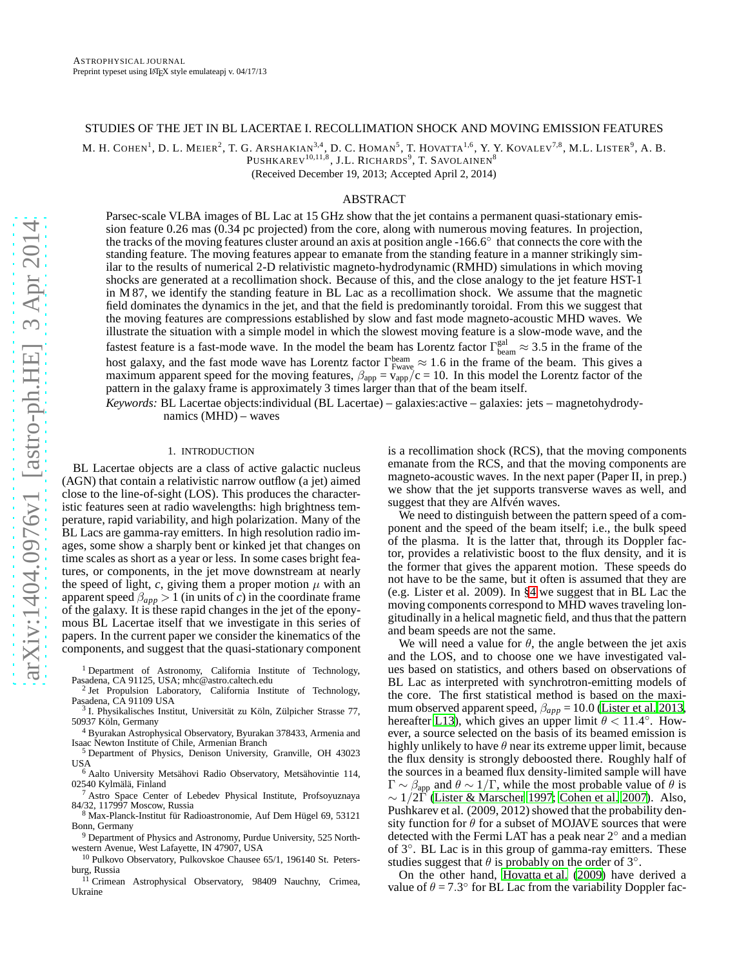# STUDIES OF THE JET IN BL LACERTAE I. RECOLLIMATION SHOCK AND MOVING EMISSION FEATURES

M. H. COHEN<sup>1</sup>, D. L. MEIER<sup>2</sup>, T. G. ARSHAKIAN<sup>3,4</sup>, D. C. HOMAN<sup>5</sup>, T. HOVATTA<sup>1,6</sup>, Y. Y. KOVALEV<sup>7,8</sup>, M.L. LISTER<sup>9</sup>, A. B.

PUSHKAREV $^{10,11,8}$ , J.L. Richards $^9$ , T. Savolainen $^8$ (Received December 19, 2013; Accepted April 2, 2014)

## ABSTRACT

Parsec-scale VLBA images of BL Lac at 15 GHz show that the jet contains a permanent quasi-stationary emission feature 0.26 mas (0.34 pc projected) from the core, along with numerous moving features. In projection, the tracks of the moving features cluster around an axis at position angle -166.6◦ that connects the core with the standing feature. The moving features appear to emanate from the standing feature in a manner strikingly similar to the results of numerical 2-D relativistic magneto-hydrodynamic (RMHD) simulations in which moving shocks are generated at a recollimation shock. Because of this, and the close analogy to the jet feature HST-1 in M 87, we identify the standing feature in BL Lac as a recollimation shock. We assume that the magnetic field dominates the dynamics in the jet, and that the field is predominantly toroidal. From this we suggest that the moving features are compressions established by slow and fast mode magneto-acoustic MHD waves. We illustrate the situation with a simple model in which the slowest moving feature is a slow-mode wave, and the

fastest feature is a fast-mode wave. In the model the beam has Lorentz factor  $\Gamma_{\text{beam}}^{\text{gal}} \approx 3.5$  in the frame of the host galaxy, and the fast mode wave has Lorentz factor  $\Gamma_{\text{Fwave}}^{\text{beam}} \approx 1.6$  in the frame of the beam. This gives a maximum apparent speed for the moving features,  $\beta_{app} = v_{app}/c = 10$ . In this model the Lorentz factor of the pattern in the galaxy frame is approximately 3 times larger than that of the beam itself.

*Keywords:* BL Lacertae objects:individual (BL Lacertae) – galaxies:active – galaxies: jets – magnetohydrodynamics (MHD) – waves

### 1. INTRODUCTION

<span id="page-0-0"></span>BL Lacertae objects are a class of active galactic nucleus (AGN) that contain a relativistic narrow outflow (a jet) aimed close to the line-of-sight (LOS). This produces the characteristic features seen at radio wavelengths: high brightness temperature, rapid variability, and high polarization. Many of the BL Lacs are gamma-ray emitters. In high resolution radio images, some show a sharply bent or kinked jet that changes on time scales as short as a year or less. In some cases bright features, or components, in the jet move downstream at nearly the speed of light,  $c$ , giving them a proper motion  $\mu$  with an apparent speed  $\beta_{app} > 1$  (in units of *c*) in the coordinate frame of the galaxy. It is these rapid changes in the jet of the eponymous BL Lacertae itself that we investigate in this series of papers. In the current paper we consider the kinematics of the components, and suggest that the quasi-stationary component

<sup>4</sup> Byurakan Astrophysical Observatory, Byurakan 378433, Armenia and

Isaac Newton Institute of Chile, Armenian Branch <sup>5</sup> Department of Physics, Denison University, Granville, OH 43023 USA

<sup>6</sup> Aalto University Metsähovi Radio Observatory, Metsähovintie 114, 02540 Kylmälä, Finland

<sup>7</sup> Astro Space Center of Lebedev Physical Institute, Profsoyuznaya 84/32, 117997 Moscow, Russia

<sup>8</sup> Max-Planck-Institut für Radioastronomie, Auf Dem Hügel 69, 53121 Bonn, Germany

<sup>9</sup> Department of Physics and Astronomy, Purdue University, 525 Northwestern Avenue, West Lafayette, IN 47907, USA

<sup>10</sup> Pulkovo Observatory, Pulkovskoe Chausee 65/1, 196140 St. Petersburg, Russia

<sup>11</sup> Crimean Astrophysical Observatory, 98409 Nauchny, Crimea, Ukraine

is a recollimation shock (RCS), that the moving components emanate from the RCS, and that the moving components are magneto-acoustic waves. In the next paper (Paper II, in prep.) we show that the jet supports transverse waves as well, and suggest that they are Alfvén waves.

We need to distinguish between the pattern speed of a component and the speed of the beam itself; i.e., the bulk speed of the plasma. It is the latter that, through its Doppler factor, provides a relativistic boost to the flux density, and it is the former that gives the apparent motion. These speeds do not have to be the same, but it often is assumed that they are (e.g. Lister et al. 2009). In [§4](#page-6-0) we suggest that in BL Lac the moving components correspond to MHD waves traveling longitudinally in a helical magnetic field, and thus that the pattern and beam speeds are not the same.

We will need a value for  $\theta$ , the angle between the jet axis and the LOS, and to choose one we have investigated values based on statistics, and others based on observations of BL Lac as interpreted with synchrotron-emitting models of the core. The first statistical method is based on the maximum observed apparent speed,  $\beta_{app} = 10.0$  [\(Lister et al. 2013,](#page-9-0) hereafter [L13](#page-9-0)), which gives an upper limit  $\theta$  < 11.4°. However, a source selected on the basis of its beamed emission is highly unlikely to have  $\theta$  near its extreme upper limit, because the flux density is strongly deboosted there. Roughly half of the sources in a beamed flux density-limited sample will have  $\Gamma \sim \beta_{\rm app}$  and  $\theta \sim 1/\Gamma$ , while the most probable value of  $\theta$  is  $\sim 1/2\dot{\Gamma}$  [\(Lister & Marscher 1997;](#page-9-1) [Cohen et al. 2007\)](#page-9-2). Also, Pushkarev et al. (2009, 2012) showed that the probability density function for  $\theta$  for a subset of MOJAVE sources that were detected with the Fermi LAT has a peak near 2° and a median of 3◦ . BL Lac is in this group of gamma-ray emitters. These studies suggest that  $\theta$  is probably on the order of 3°.

On the other hand, [Hovatta et al.](#page-9-3) [\(2009\)](#page-9-3) have derived a value of  $\theta = 7.3^{\circ}$  for BL Lac from the variability Doppler fac-

<sup>&</sup>lt;sup>1</sup> Department of Astronomy, California Institute of Technology, Pasadena, CA 91125, USA; mhc@astro.caltech.edu

<sup>&</sup>lt;sup>2</sup> Jet Propulsion Laboratory, California Institute of Technology, Pasadena, CA 91109 USA

<sup>&</sup>lt;sup>3</sup> I. Physikalisches Institut, Universität zu Köln, Zülpicher Strasse 77, 50937 Köln, Germany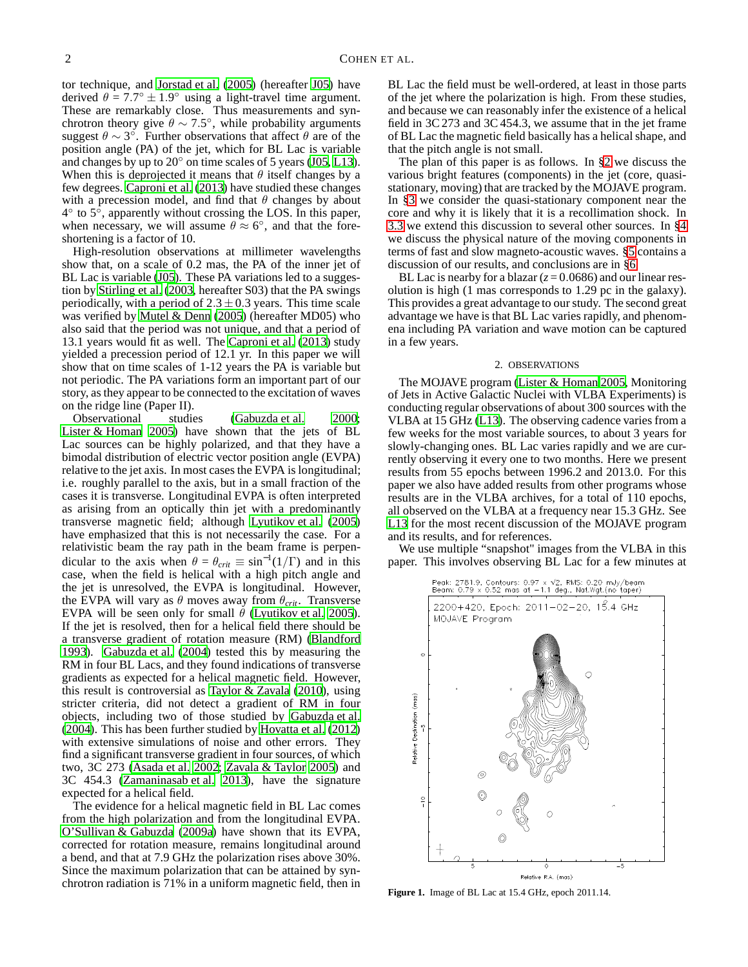tor technique, and [Jorstad et al. \(2005](#page-9-4)) (hereafter [J05\)](#page-9-4) have derived  $\theta = 7.7^{\circ} \pm 1.9^{\circ}$  using a light-travel time argument. These are remarkably close. Thus measurements and synchrotron theory give  $\theta \sim 7.5^{\circ}$ , while probability arguments suggest  $\theta \sim 3^{\circ}$ . Further observations that affect  $\theta$  are of the position angle (PA) of the jet, which for BL Lac is variable and changes by up to  $20^\circ$  on time scales of 5 years [\(J05,](#page-9-4) [L13](#page-9-0)). When this is deprojected it means that  $\theta$  itself changes by a few degrees. [Caproni et al. \(2013\)](#page-9-5) have studied these changes with a precession model, and find that  $\theta$  changes by about  $4^{\circ}$  to  $5^{\circ}$ , apparently without crossing the LOS. In this paper, when necessary, we will assume  $\theta \approx 6^{\circ}$ , and that the foreshortening is a factor of 10.

High-resolution observations at millimeter wavelengths show that, on a scale of 0.2 mas, the PA of the inner jet of BL Lac is variable [\(J05](#page-9-4)). These PA variations led to a suggestion by [Stirling et al. \(2003](#page-9-6), hereafter S03) that the PA swings periodically, with a period of  $2.3 \pm 0.3$  years. This time scale was verified by [Mutel & Denn](#page-9-7) [\(2005\)](#page-9-7) (hereafter MD05) who also said that the period was not unique, and that a period of 13.1 years would fit as well. The [Caproni et al. \(2013\)](#page-9-5) study yielded a precession period of 12.1 yr. In this paper we will show that on time scales of 1-12 years the PA is variable but not periodic. The PA variations form an important part of our story, as they appear to be connected to the excitation of waves on the ridge line (Paper II).

Observational studies [\(Gabuzda et al. 2000;](#page-9-8) [Lister & Homan 2005](#page-9-9)) have shown that the jets of BL Lac sources can be highly polarized, and that they have a bimodal distribution of electric vector position angle (EVPA) relative to the jet axis. In most cases the EVPA is longitudinal; i.e. roughly parallel to the axis, but in a small fraction of the cases it is transverse. Longitudinal EVPA is often interpreted as arising from an optically thin jet with a predominantly transverse magnetic field; although [Lyutikov et al. \(2005\)](#page-9-10) have emphasized that this is not necessarily the case. For a relativistic beam the ray path in the beam frame is perpendicular to the axis when  $\theta = \theta_{crit} \equiv \sin^{-1}(1/\Gamma)$  and in this case, when the field is helical with a high pitch angle and the jet is unresolved, the EVPA is longitudinal. However, the EVPA will vary as  $\theta$  moves away from  $\theta_{crit}$ . Transverse EVPA will be seen only for small  $\theta$  [\(Lyutikov et al. 2005\)](#page-9-10). If the jet is resolved, then for a helical field there should be a transverse gradient of rotation measure (RM) [\(Blandford](#page-9-11) [1993\)](#page-9-11). [Gabuzda et al. \(2004\)](#page-9-12) tested this by measuring the RM in four BL Lacs, and they found indications of transverse gradients as expected for a helical magnetic field. However, this result is controversial as Taylor  $\&$  Zavala (2010), using stricter criteria, did not detect a gradient of RM in four objects, including two of those studied by [Gabuzda et al.](#page-9-12) [\(2004](#page-9-12)). This has been further studied by [Hovatta et al. \(2012\)](#page-9-14) with extensive simulations of noise and other errors. They find a significant transverse gradient in four sources, of which two, 3C 273 [\(Asada et al. 2002;](#page-9-15) [Zavala & Taylor 2005\)](#page-9-16) and 3C 454.3 [\(Zamaninasab et al. 2013](#page-9-17)), have the signature expected for a helical field.

The evidence for a helical magnetic field in BL Lac comes from the high polarization and from the longitudinal EVPA. [O'Sullivan & Gabuzda](#page-9-18) [\(2009a\)](#page-9-18) have shown that its EVPA, corrected for rotation measure, remains longitudinal around a bend, and that at 7.9 GHz the polarization rises above 30%. Since the maximum polarization that can be attained by synchrotron radiation is 71% in a uniform magnetic field, then in

BL Lac the field must be well-ordered, at least in those parts of the jet where the polarization is high. From these studies, and because we can reasonably infer the existence of a helical field in 3C 273 and 3C 454.3, we assume that in the jet frame of BL Lac the magnetic field basically has a helical shape, and that the pitch angle is not small.

The plan of this paper is as follows. In [§2](#page-1-0) we discuss the various bright features (components) in the jet (core, quasistationary, moving) that are tracked by the MOJAVE program. In [§3](#page-4-0) we consider the quasi-stationary component near the core and why it is likely that it is a recollimation shock. In [3.3](#page-6-1) we extend this discussion to several other sources. In [§4](#page-6-0) we discuss the physical nature of the moving components in terms of fast and slow magneto-acoustic waves. [§5](#page-8-0) contains a discussion of our results, and conclusions are in [§6.](#page-8-1)

BL Lac is nearby for a blazar  $(z = 0.0686)$  and our linear resolution is high (1 mas corresponds to 1.29 pc in the galaxy). This provides a great advantage to our study. The second great advantage we have is that BL Lac varies rapidly, and phenomena including PA variation and wave motion can be captured in a few years.

## 2. OBSERVATIONS

<span id="page-1-0"></span>The MOJAVE program [\(Lister & Homan 2005,](#page-9-9) Monitoring of Jets in Active Galactic Nuclei with VLBA Experiments) is conducting regular observations of about 300 sources with the VLBA at 15 GHz [\(L13](#page-9-0)). The observing cadence varies from a few weeks for the most variable sources, to about 3 years for slowly-changing ones. BL Lac varies rapidly and we are currently observing it every one to two months. Here we present results from 55 epochs between 1996.2 and 2013.0. For this paper we also have added results from other programs whose results are in the VLBA archives, for a total of 110 epochs, all observed on the VLBA at a frequency near 15.3 GHz. See [L13](#page-9-0) for the most recent discussion of the MOJAVE program and its results, and for references.

We use multiple "snapshot" images from the VLBA in this paper. This involves observing BL Lac for a few minutes at



<span id="page-1-1"></span>**Figure 1.** Image of BL Lac at 15.4 GHz, epoch 2011.14.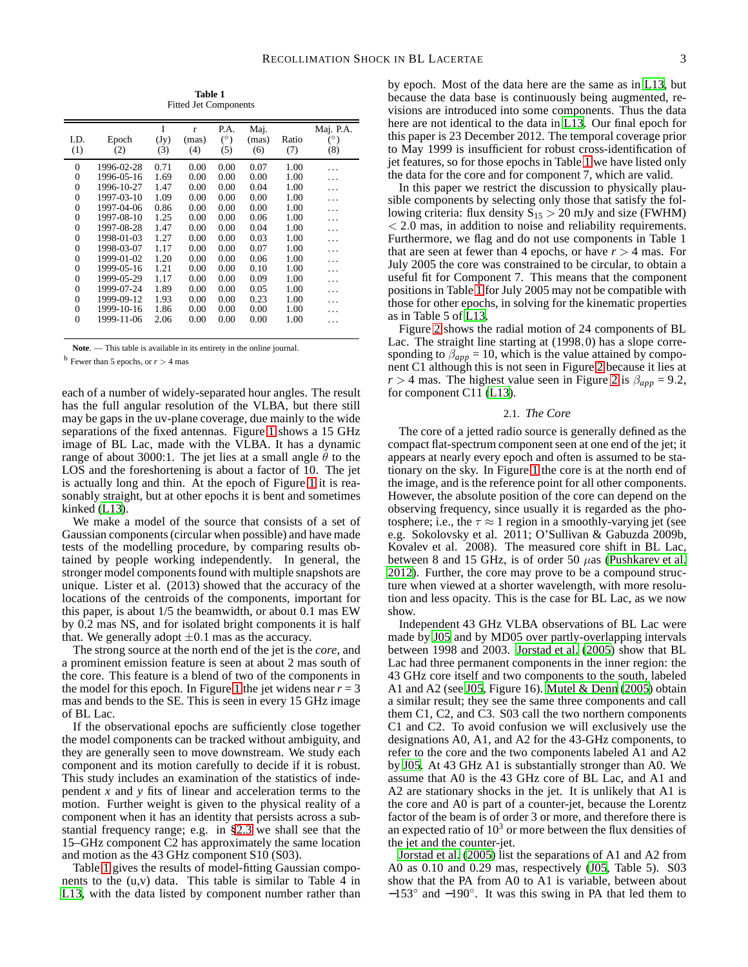**Table 1** Fitted Jet Components

<span id="page-2-0"></span>

| I.D.<br>(1)    | Epoch<br>(2) | I<br>(Jy)<br>(3) | $\mathbf{r}$<br>(mas)<br>(4) | P.A.<br>(°)<br>(5) | Maj.<br>(mas)<br>(6) | Ratio<br>(7) | Maj. P.A.<br>$(^\circ)$<br>(8) |
|----------------|--------------|------------------|------------------------------|--------------------|----------------------|--------------|--------------------------------|
| 0              | 1996-02-28   | 0.71             | 0.00                         | 0.00               | 0.07                 | 1.00         |                                |
| $\overline{0}$ | 1996-05-16   | 1.69             | 0.00                         | 0.00               | 0.00                 | 1.00         |                                |
| $\overline{0}$ | 1996-10-27   | 1.47             | 0.00                         | 0.00               | 0.04                 | 1.00         |                                |
| $\overline{0}$ | 1997-03-10   | 1.09             | 0.00                         | 0.00               | 0.00                 | 1.00         |                                |
| $\overline{0}$ | 1997-04-06   | 0.86             | 0.00                         | 0.00               | 0.00                 | 1.00         |                                |
| $\theta$       | 1997-08-10   | 1.25             | 0.00                         | 0.00               | 0.06                 | 1.00         |                                |
| $\overline{0}$ | 1997-08-28   | 1.47             | 0.00                         | 0.00               | 0.04                 | 1.00         |                                |
| $\overline{0}$ | 1998-01-03   | 1.27             | 0.00                         | 0.00               | 0.03                 | 1.00         |                                |
| $\overline{0}$ | 1998-03-07   | 1.17             | 0.00                         | 0.00               | 0.07                 | 1.00         |                                |
| $\overline{0}$ | 1999-01-02   | 1.20             | 0.00                         | 0.00               | 0.06                 | 1.00         |                                |
| $\theta$       | 1999-05-16   | 1.21             | 0.00                         | 0.00               | 0.10                 | 1.00         |                                |
| $\overline{0}$ | 1999-05-29   | 1.17             | 0.00                         | 0.00               | 0.09                 | 1.00         |                                |
| $\overline{0}$ | 1999-07-24   | 1.89             | 0.00                         | 0.00               | 0.05                 | 1.00         |                                |
| $\overline{0}$ | 1999-09-12   | 1.93             | 0.00                         | 0.00               | 0.23                 | 1.00         | .                              |
| 0              | 1999-10-16   | 1.86             | 0.00                         | 0.00               | 0.00                 | 1.00         |                                |
| $\theta$       | 1999-11-06   | 2.06             | 0.00                         | 0.00               | 0.00                 | 1.00         |                                |

**Note**. — This table is available in its entirety in the online journal.

 $<sup>b</sup>$  Fewer than 5 epochs, or  $r > 4$  mas</sup>

each of a number of widely-separated hour angles. The result has the full angular resolution of the VLBA, but there still may be gaps in the uv-plane coverage, due mainly to the wide separations of the fixed antennas. Figure [1](#page-1-1) shows a 15 GHz image of BL Lac, made with the VLBA. It has a dynamic range of about 3000:1. The jet lies at a small angle  $\theta$  to the LOS and the foreshortening is about a factor of 10. The jet is actually long and thin. At the epoch of Figure [1](#page-1-1) it is reasonably straight, but at other epochs it is bent and sometimes kinked [\(L13\)](#page-9-0).

We make a model of the source that consists of a set of Gaussian components (circular when possible) and have made tests of the modelling procedure, by comparing results obtained by people working independently. In general, the stronger model components found with multiple snapshots are unique. Lister et al. (2013) showed that the accuracy of the locations of the centroids of the components, important for this paper, is about 1/5 the beamwidth, or about 0.1 mas EW by 0.2 mas NS, and for isolated bright components it is half that. We generally adopt  $\pm 0.1$  mas as the accuracy.

The strong source at the north end of the jet is the *core*, and a prominent emission feature is seen at about 2 mas south of the core. This feature is a blend of two of the components in the model for this epoch. In Figure [1](#page-1-1) the jet widens near  $r = 3$ mas and bends to the SE. This is seen in every 15 GHz image of BL Lac.

If the observational epochs are sufficiently close together the model components can be tracked without ambiguity, and they are generally seen to move downstream. We study each component and its motion carefully to decide if it is robust. This study includes an examination of the statistics of independent *x* and *y* fits of linear and acceleration terms to the motion. Further weight is given to the physical reality of a component when it has an identity that persists across a substantial frequency range; e.g. in [§2.3](#page-3-0) we shall see that the 15–GHz component C2 has approximately the same location and motion as the 43 GHz component S10 (S03).

Table [1](#page-2-0) gives the results of model-fitting Gaussian components to the  $(u,v)$  data. This table is similar to Table 4 in [L13,](#page-9-0) with the data listed by component number rather than

by epoch. Most of the data here are the same as in [L13,](#page-9-0) but because the data base is continuously being augmented, revisions are introduced into some components. Thus the data here are not identical to the data in [L13.](#page-9-0) Our final epoch for this paper is 23 December 2012. The temporal coverage prior to May 1999 is insufficient for robust cross-identification of jet features, so for those epochs in Table [1](#page-2-0) we have listed only the data for the core and for component 7, which are valid.

In this paper we restrict the discussion to physically plausible components by selecting only those that satisfy the following criteria: flux density  $S_{15} > 20$  mJy and size (FWHM) < 2.0 mas, in addition to noise and reliability requirements. Furthermore, we flag and do not use components in Table 1 that are seen at fewer than 4 epochs, or have  $r > 4$  mas. For July 2005 the core was constrained to be circular, to obtain a useful fit for Component 7. This means that the component positions in Table [1](#page-2-0) for July 2005 may not be compatible with those for other epochs, in solving for the kinematic properties as in Table 5 of [L13](#page-9-0).

Figure [2](#page-3-1) shows the radial motion of 24 components of BL Lac. The straight line starting at (1998,0) has a slope corresponding to  $\beta_{app} = 10$ , which is the value attained by component C1 although this is not seen in Figure [2](#page-3-1) because it lies at *r* > 4 mas. The highest value seen in Figure [2](#page-3-1) is  $\beta_{app} = 9.2$ , for component C11 [\(L13\)](#page-9-0).

## 2.1. *The Core*

The core of a jetted radio source is generally defined as the compact flat-spectrum component seen at one end of the jet; it appears at nearly every epoch and often is assumed to be stationary on the sky. In Figure [1](#page-1-1) the core is at the north end of the image, and is the reference point for all other components. However, the absolute position of the core can depend on the observing frequency, since usually it is regarded as the photosphere; i.e., the  $\tau \approx 1$  region in a smoothly-varying jet (see e.g. Sokolovsky et al. 2011; O'Sullivan & Gabuzda 2009b, Kovalev et al. 2008). The measured core shift in BL Lac, between 8 and 15 GHz, is of order 50  $\mu$ as [\(Pushkarev et al.](#page-9-19) [2012\)](#page-9-19). Further, the core may prove to be a compound structure when viewed at a shorter wavelength, with more resolution and less opacity. This is the case for BL Lac, as we now show.

Independent 43 GHz VLBA observations of BL Lac were made by [J05](#page-9-4) and by MD05 over partly-overlapping intervals between 1998 and 2003. [Jorstad et al. \(2005](#page-9-4)) show that BL Lac had three permanent components in the inner region: the 43 GHz core itself and two components to the south, labeled A1 and A2 (see [J05,](#page-9-4) Figure 16). [Mutel & Denn \(2005\)](#page-9-7) obtain a similar result; they see the same three components and call them C1, C2, and C3. S03 call the two northern components C1 and C2. To avoid confusion we will exclusively use the designations A0, A1, and A2 for the 43-GHz components, to refer to the core and the two components labeled A1 and A2 by [J05](#page-9-4). At 43 GHz A1 is substantially stronger than A0. We assume that A0 is the 43 GHz core of BL Lac, and A1 and A2 are stationary shocks in the jet. It is unlikely that A1 is the core and A0 is part of a counter-jet, because the Lorentz factor of the beam is of order 3 or more, and therefore there is an expected ratio of  $10<sup>3</sup>$  or more between the flux densities of the jet and the counter-jet.

[Jorstad et al.](#page-9-4) [\(2005\)](#page-9-4) list the separations of A1 and A2 from A0 as 0.10 and 0.29 mas, respectively [\(J05,](#page-9-4) Table 5). S03 show that the PA from A0 to A1 is variable, between about −153◦ and −190◦ . It was this swing in PA that led them to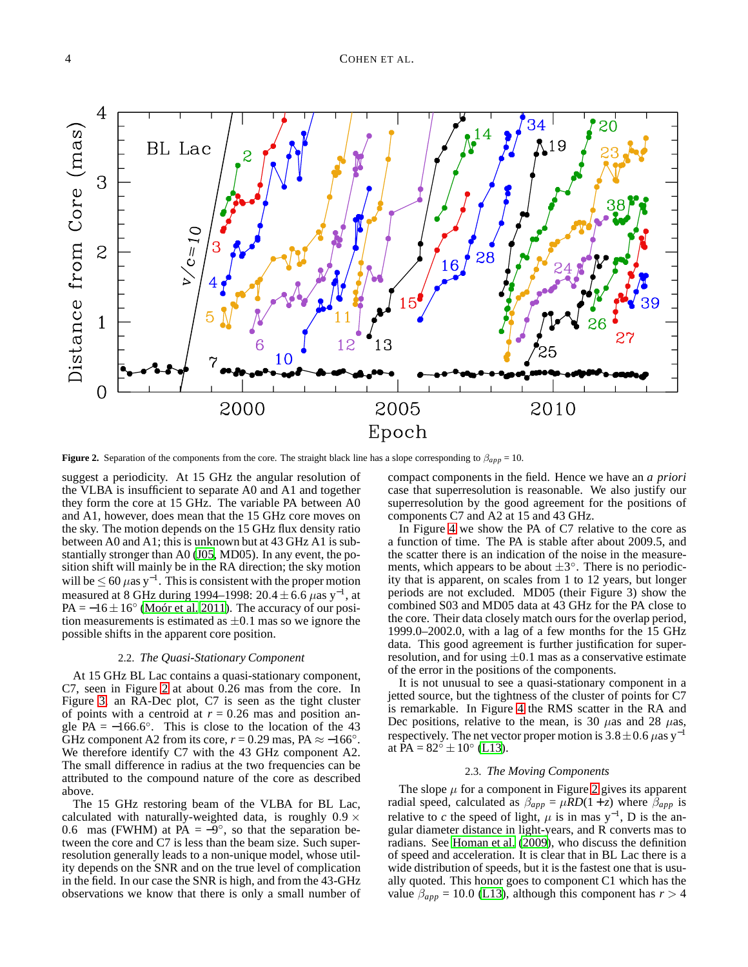

<span id="page-3-1"></span>**Figure 2.** Separation of the components from the core. The straight black line has a slope corresponding to  $\beta_{app} = 10$ .

suggest a periodicity. At 15 GHz the angular resolution of the VLBA is insufficient to separate A0 and A1 and together they form the core at 15 GHz. The variable PA between A0 and A1, however, does mean that the 15 GHz core moves on the sky. The motion depends on the 15 GHz flux density ratio between A0 and A1; this is unknown but at 43 GHz A1 is substantially stronger than A0 [\(J05](#page-9-4), MD05). In any event, the position shift will mainly be in the RA direction; the sky motion will be  $\leq 60 \ \mu$ as y<sup>-1</sup>. This is consistent with the proper motion measured at 8 GHz during 1994–1998: 20.4  $\pm$  6.6  $\mu$ as y<sup>-1</sup>, at  $PA = -16 \pm 16^{\circ}$  [\(Moór et al. 2011\)](#page-9-20). The accuracy of our position measurements is estimated as  $\pm 0.1$  mas so we ignore the possible shifts in the apparent core position.

# 2.2. *The Quasi-Stationary Component*

At 15 GHz BL Lac contains a quasi-stationary component, C7, seen in Figure [2](#page-3-1) at about 0.26 mas from the core. In Figure [3,](#page-4-1) an RA-Dec plot, C7 is seen as the tight cluster of points with a centroid at  $r = 0.26$  mas and position angle  $PA = -166.6^{\circ}$ . This is close to the location of the 43 GHz component A2 from its core,  $r = 0.29$  mas, PA  $\approx -166^\circ$ . We therefore identify C7 with the 43 GHz component A2. The small difference in radius at the two frequencies can be attributed to the compound nature of the core as described above.

The 15 GHz restoring beam of the VLBA for BL Lac, calculated with naturally-weighted data, is roughly  $0.9 \times$ 0.6 mas (FWHM) at  $\vec{PA} = -9^\circ$ , so that the separation between the core and C7 is less than the beam size. Such superresolution generally leads to a non-unique model, whose utility depends on the SNR and on the true level of complication in the field. In our case the SNR is high, and from the 43-GHz observations we know that there is only a small number of compact components in the field. Hence we have an *a priori* case that superresolution is reasonable. We also justify our superresolution by the good agreement for the positions of components C7 and A2 at 15 and 43 GHz.

In Figure [4](#page-4-2) we show the PA of C7 relative to the core as a function of time. The PA is stable after about 2009.5, and the scatter there is an indication of the noise in the measurements, which appears to be about  $\pm 3^{\circ}$ . There is no periodicity that is apparent, on scales from 1 to 12 years, but longer periods are not excluded. MD05 (their Figure 3) show the combined S03 and MD05 data at 43 GHz for the PA close to the core. Their data closely match ours for the overlap period, 1999.0–2002.0, with a lag of a few months for the 15 GHz data. This good agreement is further justification for superresolution, and for using  $\pm 0.1$  mas as a conservative estimate of the error in the positions of the components.

It is not unusual to see a quasi-stationary component in a jetted source, but the tightness of the cluster of points for C7 is remarkable. In Figure [4](#page-4-2) the RMS scatter in the RA and Dec positions, relative to the mean, is 30  $\mu$ as and 28  $\mu$ as, respectively. The net vector proper motion is  $3.8 \pm 0.6 \,\mu$ as y<sup>-1</sup> at  $PA = 82^{\circ} \pm 10^{\circ}$  [\(L13\)](#page-9-0).

# 2.3. *The Moving Components*

<span id="page-3-0"></span>The slope  $\mu$  for a component in Figure [2](#page-3-1) gives its apparent radial speed, calculated as  $\beta_{app} = \mu RD(1 + z)$  where  $\beta_{app}$  is relative to *c* the speed of light,  $\mu$  is in mas y<sup>-1</sup>, D is the angular diameter distance in light-years, and R converts mas to radians. See [Homan et al. \(2009\)](#page-9-21), who discuss the definition of speed and acceleration. It is clear that in BL Lac there is a wide distribution of speeds, but it is the fastest one that is usually quoted. This honor goes to component C1 which has the value  $\beta_{app} = 10.0$  [\(L13](#page-9-0)), although this component has  $r > 4$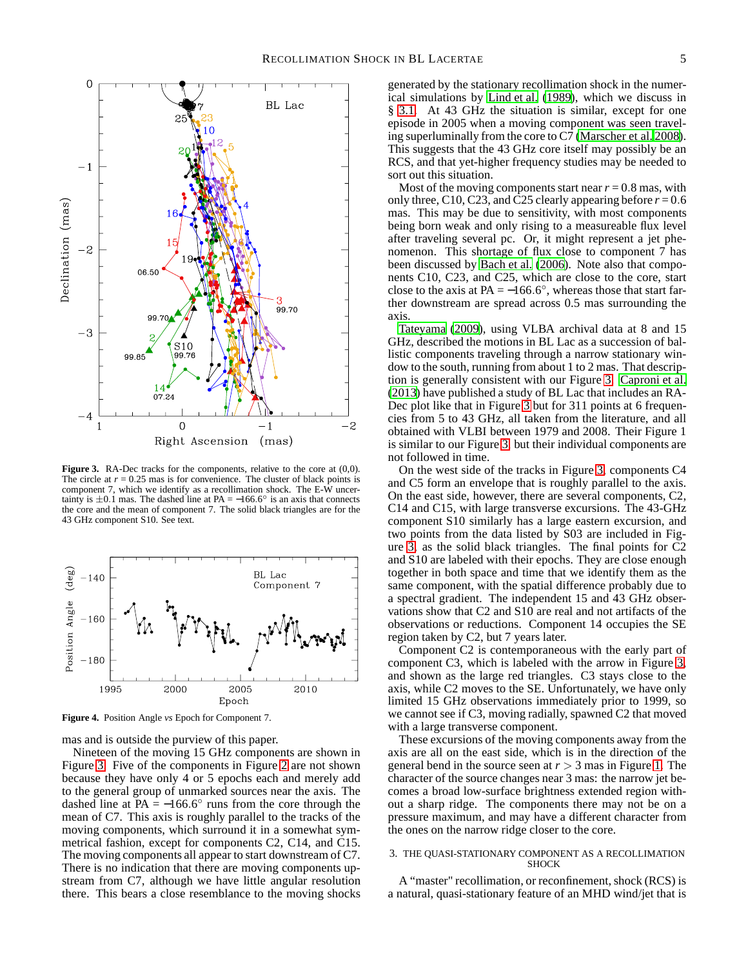



<span id="page-4-1"></span>**Figure 3.** RA-Dec tracks for the components, relative to the core at (0,0). The circle at  $r = 0.25$  mas is for convenience. The cluster of black points is component 7, which we identify as a recollimation shock. The E-W uncertainty is  $\pm 0.1$  mas. The dashed line at PA = −166.6 $\degree$  is an axis that connects the core and the mean of component 7. The solid black triangles are for the 43 GHz component S10. See text.



<span id="page-4-2"></span>**Figure 4.** Position Angle *vs* Epoch for Component 7.

mas and is outside the purview of this paper.

Nineteen of the moving 15 GHz components are shown in Figure [3.](#page-4-1) Five of the components in Figure [2](#page-3-1) are not shown because they have only 4 or 5 epochs each and merely add to the general group of unmarked sources near the axis. The dashed line at  $\overline{PA} = -166.6^{\circ}$  runs from the core through the mean of C7. This axis is roughly parallel to the tracks of the moving components, which surround it in a somewhat symmetrical fashion, except for components C2, C14, and C15. The moving components all appear to start downstream of C7. There is no indication that there are moving components upstream from C7, although we have little angular resolution there. This bears a close resemblance to the moving shocks

generated by the stationary recollimation shock in the numerical simulations by [Lind et al.](#page-9-22) [\(1989\)](#page-9-22), which we discuss in § [3.1.](#page-5-0) At 43 GHz the situation is similar, except for one episode in 2005 when a moving component was seen traveling superluminally from the core to C7 [\(Marscher et al. 2008](#page-9-23)). This suggests that the 43 GHz core itself may possibly be an RCS, and that yet-higher frequency studies may be needed to sort out this situation.

Most of the moving components start near  $r = 0.8$  mas, with only three, C10, C23, and C25 clearly appearing before  $r = 0.6$ mas. This may be due to sensitivity, with most components being born weak and only rising to a measureable flux level after traveling several pc. Or, it might represent a jet phenomenon. This shortage of flux close to component 7 has been discussed by [Bach et al. \(2006](#page-9-24)). Note also that components C10, C23, and C25, which are close to the core, start close to the axis at PA =  $-166.6^{\circ}$ , whereas those that start farther downstream are spread across 0.5 mas surrounding the axis.

[Tateyama \(2009](#page-9-25)), using VLBA archival data at 8 and 15 GHz, described the motions in BL Lac as a succession of ballistic components traveling through a narrow stationary window to the south, running from about 1 to 2 mas. That description is generally consistent with our Figure [3.](#page-4-1) [Caproni et al.](#page-9-5) [\(2013\)](#page-9-5) have published a study of BL Lac that includes an RA-Dec plot like that in Figure [3](#page-4-1) but for 311 points at 6 frequencies from 5 to 43 GHz, all taken from the literature, and all obtained with VLBI between 1979 and 2008. Their Figure 1 is similar to our Figure [3,](#page-4-1) but their individual components are not followed in time.

On the west side of the tracks in Figure [3,](#page-4-1) components C4 and C5 form an envelope that is roughly parallel to the axis. On the east side, however, there are several components, C2, C14 and C15, with large transverse excursions. The 43-GHz component S10 similarly has a large eastern excursion, and two points from the data listed by S03 are included in Figure [3,](#page-4-1) as the solid black triangles. The final points for C2 and S10 are labeled with their epochs. They are close enough together in both space and time that we identify them as the same component, with the spatial difference probably due to a spectral gradient. The independent 15 and 43 GHz observations show that C2 and S10 are real and not artifacts of the observations or reductions. Component 14 occupies the SE region taken by C2, but 7 years later.

Component C2 is contemporaneous with the early part of component C3, which is labeled with the arrow in Figure [3,](#page-4-1) and shown as the large red triangles. C3 stays close to the axis, while C2 moves to the SE. Unfortunately, we have only limited 15 GHz observations immediately prior to 1999, so we cannot see if C3, moving radially, spawned C2 that moved with a large transverse component.

These excursions of the moving components away from the axis are all on the east side, which is in the direction of the general bend in the source seen at  $r > 3$  mas in Figure [1.](#page-1-1) The character of the source changes near 3 mas: the narrow jet becomes a broad low-surface brightness extended region without a sharp ridge. The components there may not be on a pressure maximum, and may have a different character from the ones on the narrow ridge closer to the core.

## <span id="page-4-0"></span>3. THE QUASI-STATIONARY COMPONENT AS A RECOLLIMATION **SHOCK**

A "master" recollimation, or reconfinement, shock (RCS) is a natural, quasi-stationary feature of an MHD wind/jet that is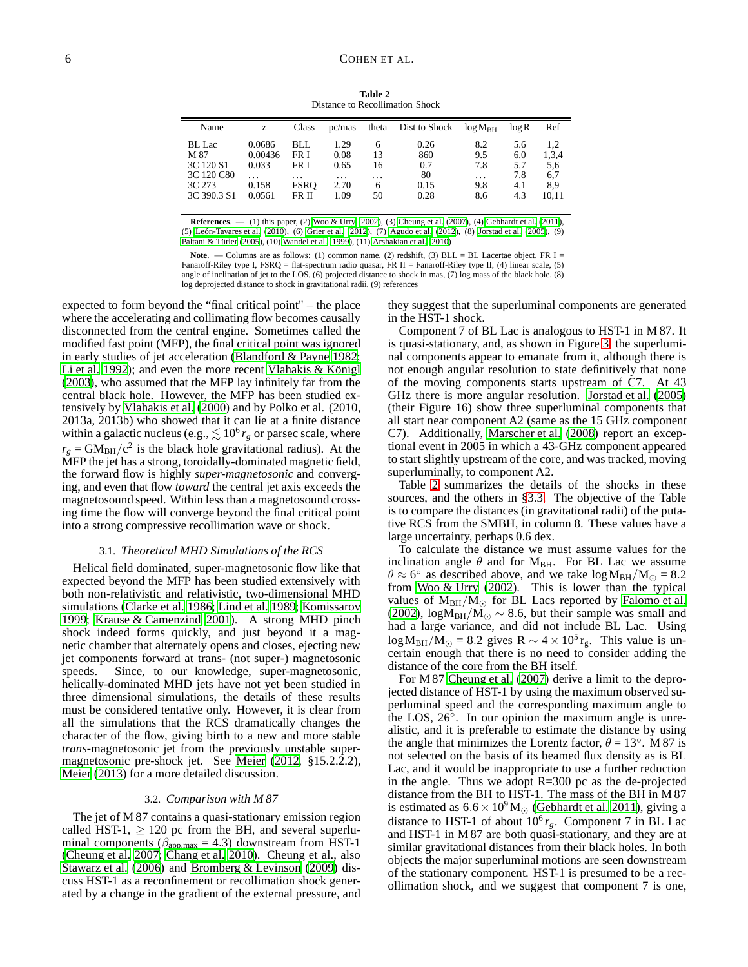**Table 2** Distance to Recollimation Shock

<span id="page-5-1"></span>

| Name          | Z.      | Class       | pc/mas  | theta    | Dist to Shock | $log M_{BH}$ | $\log R$ | Ref   |
|---------------|---------|-------------|---------|----------|---------------|--------------|----------|-------|
| <b>BL</b> Lac | 0.0686  | BLL         | 1.29    | 6        | 0.26          | 8.2          | 5.6      | 1.2   |
| M 87          | 0.00436 | FR I        | 0.08    | 13       | 860           | 9.5          | 6.0      | 1,3,4 |
| 3C 120 S1     | 0.033   | FR I        | 0.65    | 16       | 0.7           | 7.8          | 5.7      | 5,6   |
| 3C 120 C80    |         | .           | $\cdot$ | $\cdots$ | 80            | .            | 7.8      | 6,7   |
| 3C 273        | 0.158   | <b>FSRO</b> | 2.70    | 6        | 0.15          | 9.8          | 4.1      | 8.9   |
| 3C 390.3 S1   | 0.0561  | FR II       | 1.09    | 50       | 0.28          | 8.6          | 4.3      | 10.11 |
|               |         |             |         |          |               |              |          |       |

**References**. — (1) this paper, (2) [Woo & Urry \(2002\)](#page-9-26), (3) [Cheung et al. \(2007\)](#page-9-27), (4) [Gebhardt et al. \(2011\)](#page-9-28), (5) [León-Tavares et al. \(2010\)](#page-9-29), (6) [Grier et al. \(2012\)](#page-9-30), (7) [Agudo et al. \(2012](#page-9-31)), (8) [Jorstad et al. \(2005](#page-9-4)), (9) [Paltani & Türler \(2005](#page-9-32)), (10) [Wandel et al. \(1999](#page-9-33)), (11) [Arshakian et al. \(2010](#page-9-34))

**Note**. — Columns are as follows: (1) common name, (2) redshift, (3) BLL = BL Lacertae object, FR I = Fanaroff-Riley type I, FSRQ = flat-spectrum radio quasar, FR II = Fanaroff-Riley type II, (4) linear scale, (5) angle of inclination of jet to the LOS, (6) projected distance to shock in mas, (7) log mass of the black hole, (8) log deprojected distance to shock in gravitational radii, (9) references

expected to form beyond the "final critical point" – the place where the accelerating and collimating flow becomes causally disconnected from the central engine. Sometimes called the modified fast point (MFP), the final critical point was ignored in early studies of jet acceleration [\(Blandford & Payne 1982;](#page-9-35) [Li et al. 1992\)](#page-9-36); and even the more recent [Vlahakis & Königl](#page-9-37) [\(2003](#page-9-37)), who assumed that the MFP lay infinitely far from the central black hole. However, the MFP has been studied extensively by [Vlahakis et al. \(2000\)](#page-9-38) and by Polko et al. (2010, 2013a, 2013b) who showed that it can lie at a finite distance within a galactic nucleus (e.g.,  $\lesssim 10^6 r_g$  or parsec scale, where  $r_g = GM_{BH}/c^2$  is the black hole gravitational radius). At the MFP the jet has a strong, toroidally-dominated magnetic field, the forward flow is highly *super-magnetosonic* and converging, and even that flow *toward* the central jet axis exceeds the magnetosound speed. Within less than a magnetosound crossing time the flow will converge beyond the final critical point into a strong compressive recollimation wave or shock.

# 3.1. *Theoretical MHD Simulations of the RCS*

<span id="page-5-0"></span>Helical field dominated, super-magnetosonic flow like that expected beyond the MFP has been studied extensively with both non-relativistic and relativistic, two-dimensional MHD simulations [\(Clarke et al. 1986;](#page-9-39) [Lind et al. 1989](#page-9-22); [Komissarov](#page-9-40) [1999;](#page-9-40) [Krause & Camenzind 2001\)](#page-9-41). A strong MHD pinch shock indeed forms quickly, and just beyond it a magnetic chamber that alternately opens and closes, ejecting new jet components forward at trans- (not super-) magnetosonic speeds. Since, to our knowledge, super-magnetosonic, helically-dominated MHD jets have not yet been studied in three dimensional simulations, the details of these results must be considered tentative only. However, it is clear from all the simulations that the RCS dramatically changes the character of the flow, giving birth to a new and more stable *trans*-magnetosonic jet from the previously unstable supermagnetosonic pre-shock jet. See [Meier \(2012,](#page-9-42) §15.2.2.2), [Meier \(2013\)](#page-9-43) for a more detailed discussion.

# 3.2. *Comparison with M 87*

The jet of M 87 contains a quasi-stationary emission region called HST-1,  $\geq$  120 pc from the BH, and several superluminal components ( $\beta_{app,max} = 4.3$ ) downstream from HST-1 [\(Cheung et al. 2007](#page-9-27); [Chang et al. 2010](#page-9-44)). Cheung et al., also [Stawarz et al. \(2006\)](#page-9-45) and [Bromberg & Levinson \(2009](#page-9-46)) discuss HST-1 as a reconfinement or recollimation shock generated by a change in the gradient of the external pressure, and

they suggest that the superluminal components are generated in the HST-1 shock.

Component 7 of BL Lac is analogous to HST-1 in M 87. It is quasi-stationary, and, as shown in Figure [3,](#page-4-1) the superluminal components appear to emanate from it, although there is not enough angular resolution to state definitively that none of the moving components starts upstream of C7. At 43 GHz there is more angular resolution. [Jorstad et al.](#page-9-4) [\(2005\)](#page-9-4) (their Figure 16) show three superluminal components that all start near component A2 (same as the 15 GHz component C7). Additionally, [Marscher et al.](#page-9-23) [\(2008\)](#page-9-23) report an exceptional event in 2005 in which a 43-GHz component appeared to start slightly upstream of the core, and was tracked, moving superluminally, to component A2.

Table [2](#page-5-1) summarizes the details of the shocks in these sources, and the others in [§3.3.](#page-6-1) The objective of the Table is to compare the distances (in gravitational radii) of the putative RCS from the SMBH, in column 8. These values have a large uncertainty, perhaps 0.6 dex.

To calculate the distance we must assume values for the inclination angle  $\theta$  and for M<sub>BH</sub>. For BL Lac we assume  $\theta \approx 6^{\circ}$  as described above, and we take  $\log M_{BH}/M_{\odot} = 8.2$ from [Woo & Urry](#page-9-26) [\(2002\)](#page-9-26). This is lower than the typical values of  $M_{BH}/M_{\odot}$  for BL Lacs reported by [Falomo et al.](#page-9-47) [\(2002\)](#page-9-47),  $\log M_{BH}/M_{\odot} \sim 8.6$ , but their sample was small and had a large variance, and did not include BL Lac. Using  $log M_{BH}/M_{\odot} = 8.2$  gives R  $\sim 4 \times 10^5$  r<sub>g</sub>. This value is uncertain enough that there is no need to consider adding the distance of the core from the BH itself.

For M 87 [Cheung et al. \(2007\)](#page-9-27) derive a limit to the deprojected distance of HST-1 by using the maximum observed superluminal speed and the corresponding maximum angle to the LOS,  $26^\circ$ . In our opinion the maximum angle is unrealistic, and it is preferable to estimate the distance by using the angle that minimizes the Lorentz factor,  $\theta = 13^\circ$ . M 87 is not selected on the basis of its beamed flux density as is BL Lac, and it would be inappropriate to use a further reduction in the angle. Thus we adopt  $R = 300$  pc as the de-projected distance from the BH to HST-1. The mass of the BH in M 87 is estimated as  $6.6 \times 10^9$  M<sub>☉</sub> [\(Gebhardt et al. 2011\)](#page-9-28), giving a distance to HST-1 of about  $10<sup>6</sup> r<sub>g</sub>$ . Component 7 in BL Lac and HST-1 in M 87 are both quasi-stationary, and they are at similar gravitational distances from their black holes. In both objects the major superluminal motions are seen downstream of the stationary component. HST-1 is presumed to be a recollimation shock, and we suggest that component 7 is one,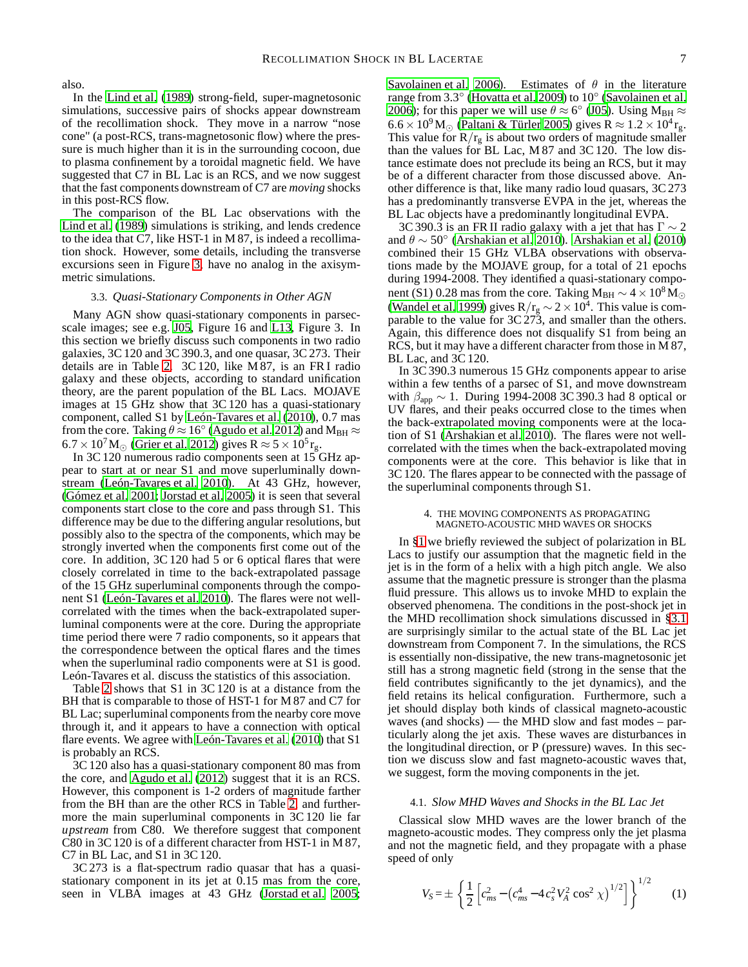also.

In the [Lind et al.](#page-9-22) [\(1989\)](#page-9-22) strong-field, super-magnetosonic simulations, successive pairs of shocks appear downstream of the recollimation shock. They move in a narrow "nose cone" (a post-RCS, trans-magnetosonic flow) where the pressure is much higher than it is in the surrounding cocoon, due to plasma confinement by a toroidal magnetic field. We have suggested that C7 in BL Lac is an RCS, and we now suggest that the fast components downstream of C7 are *moving* shocks in this post-RCS flow.

The comparison of the BL Lac observations with the [Lind et al.](#page-9-22) [\(1989\)](#page-9-22) simulations is striking, and lends credence to the idea that C7, like HST-1 in M 87, is indeed a recollimation shock. However, some details, including the transverse excursions seen in Figure [3,](#page-4-1) have no analog in the axisymmetric simulations.

## <span id="page-6-1"></span>3.3. *Quasi-Stationary Components in Other AGN*

Many AGN show quasi-stationary components in parsecscale images; see e.g. [J05](#page-9-4), Figure 16 and [L13,](#page-9-0) Figure 3. In this section we briefly discuss such components in two radio galaxies, 3C 120 and 3C 390.3, and one quasar, 3C 273. Their details are in Table [2.](#page-5-1) 3C 120, like M 87, is an FR I radio galaxy and these objects, according to standard unification theory, are the parent population of the BL Lacs. MOJAVE images at 15 GHz show that 3C 120 has a quasi-stationary component, called S1 by [León-Tavares et al. \(2010](#page-9-29)), 0.7 mas from the core. Taking  $\dot{\theta} \approx 16^{\circ}$  [\(Agudo et al. 2012\)](#page-9-31) and  $\rm M_{BH}$   $\approx$  $6.7 \times 10^7 M_{\odot}$  [\(Grier et al. 2012\)](#page-9-30) gives R  $\approx 5 \times 10^5$  r<sub>g</sub>.

In 3C 120 numerous radio components seen at 15 GHz appear to start at or near S1 and move superluminally downstream [\(León-Tavares et al. 2010\)](#page-9-29). At 43 GHz, however, [\(Gómez et al. 2001;](#page-9-48) [Jorstad et al. 2005\)](#page-9-4) it is seen that several components start close to the core and pass through S1. This difference may be due to the differing angular resolutions, but possibly also to the spectra of the components, which may be strongly inverted when the components first come out of the core. In addition, 3C 120 had 5 or 6 optical flares that were closely correlated in time to the back-extrapolated passage of the 15 GHz superluminal components through the component S1 [\(León-Tavares et al. 2010\)](#page-9-29). The flares were not wellcorrelated with the times when the back-extrapolated superluminal components were at the core. During the appropriate time period there were 7 radio components, so it appears that the correspondence between the optical flares and the times when the superluminal radio components were at S1 is good. León-Tavares et al. discuss the statistics of this association.

Table [2](#page-5-1) shows that S1 in 3C 120 is at a distance from the BH that is comparable to those of HST-1 for M 87 and C7 for BL Lac; superluminal components from the nearby core move through it, and it appears to have a connection with optical flare events. We agree with [León-Tavares et al. \(2010\)](#page-9-29) that S1 is probably an RCS.

3C 120 also has a quasi-stationary component 80 mas from the core, and [Agudo et al. \(2012](#page-9-31)) suggest that it is an RCS. However, this component is 1-2 orders of magnitude farther from the BH than are the other RCS in Table [2,](#page-5-1) and furthermore the main superluminal components in 3C 120 lie far *upstream* from C80. We therefore suggest that component C80 in 3C 120 is of a different character from HST-1 in M 87, C7 in BL Lac, and S1 in 3C 120.

3C 273 is a flat-spectrum radio quasar that has a quasistationary component in its jet at 0.15 mas from the core, seen in VLBA images at 43 GHz [\(Jorstad et al. 2005;](#page-9-4) [Savolainen et al. 2006\)](#page-9-49). Estimates of  $\theta$  in the literature range from 3.3◦ [\(Hovatta et al. 2009\)](#page-9-3) to 10◦ [\(Savolainen et al.](#page-9-49) [2006\)](#page-9-49); for this paper we will use  $\theta \approx 6^{\circ}$  [\(J05](#page-9-4)). Using  $M_{BH} \approx$ 6.6 × 10<sup>9</sup>M<sub>☉</sub> [\(Paltani & Türler 2005\)](#page-9-32) gives R  $\approx 1.2 \times 10^4$  r<sub>g</sub>. This value for  $R/r_g$  is about two orders of magnitude smaller than the values for BL Lac, M 87 and 3C 120. The low distance estimate does not preclude its being an RCS, but it may be of a different character from those discussed above. Another difference is that, like many radio loud quasars, 3C 273 has a predominantly transverse EVPA in the jet, whereas the BL Lac objects have a predominantly longitudinal EVPA.

3C 390.3 is an FR II radio galaxy with a jet that has  $\Gamma \sim 2$ and  $\theta \sim 50^{\circ}$  [\(Arshakian et al. 2010](#page-9-34)). [Arshakian et al.](#page-9-34) [\(2010\)](#page-9-34) combined their 15 GHz VLBA observations with observations made by the MOJAVE group, for a total of 21 epochs during 1994-2008. They identified a quasi-stationary component (S1) 0.28 mas from the core. Taking M<sub>BH</sub>  $\sim$  4 × 10<sup>8</sup>M<sub>☉</sub> [\(Wandel et al. 1999](#page-9-33)) gives  $R/r_g \sim 2 \times 10^4$ . This value is comparable to the value for 3C 273, and smaller than the others. Again, this difference does not disqualify S1 from being an RCS, but it may have a different character from those in M 87, BL Lac, and 3C 120.

In 3C 390.3 numerous 15 GHz components appear to arise within a few tenths of a parsec of S1, and move downstream with  $\beta_{\text{app}} \sim 1$ . During 1994-2008 3C 390.3 had 8 optical or UV flares, and their peaks occurred close to the times when the back-extrapolated moving components were at the location of S1 [\(Arshakian et al. 2010\)](#page-9-34). The flares were not wellcorrelated with the times when the back-extrapolated moving components were at the core. This behavior is like that in 3C 120. The flares appear to be connected with the passage of the superluminal components through S1.

#### 4. THE MOVING COMPONENTS AS PROPAGATING MAGNETO-ACOUSTIC MHD WAVES OR SHOCKS

<span id="page-6-0"></span>In [§1](#page-0-0) we briefly reviewed the subject of polarization in BL Lacs to justify our assumption that the magnetic field in the jet is in the form of a helix with a high pitch angle. We also assume that the magnetic pressure is stronger than the plasma fluid pressure. This allows us to invoke MHD to explain the observed phenomena. The conditions in the post-shock jet in the MHD recollimation shock simulations discussed in [§3.1](#page-5-0) are surprisingly similar to the actual state of the BL Lac jet downstream from Component 7. In the simulations, the RCS is essentially non-dissipative, the new trans-magnetosonic jet still has a strong magnetic field (strong in the sense that the field contributes significantly to the jet dynamics), and the field retains its helical configuration. Furthermore, such a jet should display both kinds of classical magneto-acoustic waves (and shocks) — the MHD slow and fast modes – particularly along the jet axis. These waves are disturbances in the longitudinal direction, or P (pressure) waves. In this section we discuss slow and fast magneto-acoustic waves that, we suggest, form the moving components in the jet.

## 4.1. *Slow MHD Waves and Shocks in the BL Lac Jet*

Classical slow MHD waves are the lower branch of the magneto-acoustic modes. They compress only the jet plasma and not the magnetic field, and they propagate with a phase speed of only

<span id="page-6-2"></span>
$$
V_S = \pm \left\{ \frac{1}{2} \left[ c_{ms}^2 - \left( c_{ms}^4 - 4 c_s^2 V_A^2 \cos^2 \chi \right)^{1/2} \right] \right\}^{1/2} \tag{1}
$$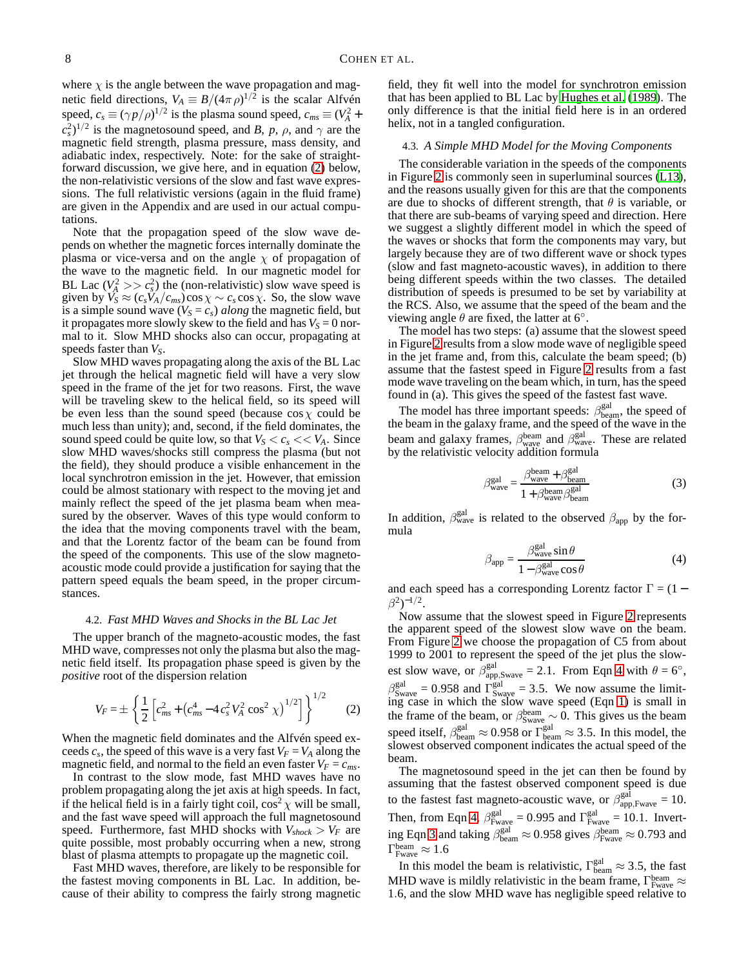where  $\chi$  is the angle between the wave propagation and magnetic field directions,  $V_A \equiv B/(4\pi\rho)^{1/2}$  is the scalar Alfvén speed,  $c_s \equiv (\gamma p/\rho)^{1/2}$  is the plasma sound speed,  $c_{ms} \equiv (V_A^2 + V_A^2)$  $(c_s^2)^{1/2}$  is the magnetosound speed, and *B*, *p*, *ρ*, and  $\gamma$  are the magnetic field strength, plasma pressure, mass density, and adiabatic index, respectively. Note: for the sake of straightforward discussion, we give here, and in equation [\(2\)](#page-7-0) below, the non-relativistic versions of the slow and fast wave expressions. The full relativistic versions (again in the fluid frame) are given in the Appendix and are used in our actual computations.

Note that the propagation speed of the slow wave depends on whether the magnetic forces internally dominate the plasma or vice-versa and on the angle  $\chi$  of propagation of the wave to the magnetic field. In our magnetic model for BL Lac  $(V_A^2 >> c_s^2)$  the (non-relativistic) slow wave speed is given by  $\ddot{V_S} \approx (c_s \ddot{V_A}/c_{ms}) \cos \chi \sim c_s \cos \chi$ . So, the slow wave is a simple sound wave  $(V<sub>S</sub> = c<sub>s</sub>)$  *along* the magnetic field, but it propagates more slowly skew to the field and has  $V_s = 0$  normal to it. Slow MHD shocks also can occur, propagating at speeds faster than *VS*.

Slow MHD waves propagating along the axis of the BL Lac jet through the helical magnetic field will have a very slow speed in the frame of the jet for two reasons. First, the wave will be traveling skew to the helical field, so its speed will be even less than the sound speed (because  $\cos \chi$  could be much less than unity); and, second, if the field dominates, the sound speed could be quite low, so that  $V_S < c_s \ll V_A$ . Since slow MHD waves/shocks still compress the plasma (but not the field), they should produce a visible enhancement in the local synchrotron emission in the jet. However, that emission could be almost stationary with respect to the moving jet and mainly reflect the speed of the jet plasma beam when measured by the observer. Waves of this type would conform to the idea that the moving components travel with the beam, and that the Lorentz factor of the beam can be found from the speed of the components. This use of the slow magnetoacoustic mode could provide a justification for saying that the pattern speed equals the beam speed, in the proper circumstances.

# 4.2. *Fast MHD Waves and Shocks in the BL Lac Jet*

The upper branch of the magneto-acoustic modes, the fast MHD wave, compresses not only the plasma but also the magnetic field itself. Its propagation phase speed is given by the *positive* root of the dispersion relation

<span id="page-7-0"></span>
$$
V_F = \pm \left\{ \frac{1}{2} \left[ c_{ms}^2 + \left( c_{ms}^4 - 4 c_s^2 V_A^2 \cos^2 \chi \right)^{1/2} \right] \right\}^{1/2} \tag{2}
$$

When the magnetic field dominates and the Alfvén speed exceeds  $c_s$ , the speed of this wave is a very fast  $V_F = V_A$  along the magnetic field, and normal to the field an even faster  $V_F = c_{ms}$ .

In contrast to the slow mode, fast MHD waves have no problem propagating along the jet axis at high speeds. In fact, if the helical field is in a fairly tight coil,  $\cos^2 \chi$  will be small, and the fast wave speed will approach the full magnetosound speed. Furthermore, fast MHD shocks with  $V_{shock} > V_F$  are quite possible, most probably occurring when a new, strong blast of plasma attempts to propagate up the magnetic coil.

Fast MHD waves, therefore, are likely to be responsible for the fastest moving components in BL Lac. In addition, because of their ability to compress the fairly strong magnetic field, they fit well into the model for synchrotron emission that has been applied to BL Lac by [Hughes et al.](#page-9-50) [\(1989\)](#page-9-50). The only difference is that the initial field here is in an ordered helix, not in a tangled configuration.

# <span id="page-7-3"></span>4.3. *A Simple MHD Model for the Moving Components*

The considerable variation in the speeds of the components in Figure [2](#page-3-1) is commonly seen in superluminal sources [\(L13](#page-9-0)), and the reasons usually given for this are that the components are due to shocks of different strength, that  $\theta$  is variable, or that there are sub-beams of varying speed and direction. Here we suggest a slightly different model in which the speed of the waves or shocks that form the components may vary, but largely because they are of two different wave or shock types (slow and fast magneto-acoustic waves), in addition to there being different speeds within the two classes. The detailed distribution of speeds is presumed to be set by variability at the RCS. Also, we assume that the speed of the beam and the viewing angle  $\hat{\theta}$  are fixed, the latter at 6°.

The model has two steps: (a) assume that the slowest speed in Figure [2](#page-3-1) results from a slow mode wave of negligible speed in the jet frame and, from this, calculate the beam speed; (b) assume that the fastest speed in Figure [2](#page-3-1) results from a fast mode wave traveling on the beam which, in turn, has the speed found in (a). This gives the speed of the fastest fast wave.

The model has three important speeds:  $\beta_{\text{beam}}^{\text{gal}}$ , the speed of the beam in the galaxy frame, and the speed of the wave in the beam and galaxy frames,  $\beta_{\text{wave}}^{\text{beam}}$  and  $\beta_{\text{wave}}^{\text{gal}}$ . These are related by the relativistic velocity addition formula

<span id="page-7-2"></span>
$$
\beta_{\text{wave}}^{\text{gal}} = \frac{\beta_{\text{wave}}^{\text{beam}} + \beta_{\text{beam}}^{\text{gal}}}{1 + \beta_{\text{wave}}^{\text{beam}} \beta_{\text{beam}}^{\text{gal}}}
$$
(3)

In addition,  $\beta_{\text{wave}}^{\text{gal}}$  is related to the observed  $\beta_{\text{app}}$  by the formula

<span id="page-7-1"></span>
$$
\beta_{\rm app} = \frac{\beta_{\rm wave}^{\rm gal} \sin \theta}{1 - \beta_{\rm wave}^{\rm gal} \cos \theta} \tag{4}
$$

and each speed has a corresponding Lorentz factor  $\Gamma = (1 \beta^{2})^{-1/2}.$ 

Now assume that the slowest speed in Figure [2](#page-3-1) represents the apparent speed of the slowest slow wave on the beam. From Figure [2](#page-3-1) we choose the propagation of C5 from about 1999 to 2001 to represent the speed of the jet plus the slowest slow wave, or  $\beta_{\text{app,Swave}}^{\text{gal}} = 2.1$ . From Eqn [4](#page-7-1) with  $\theta = 6^{\circ}$ ,  $\beta_{\text{Swave}}^{\text{gal}} = 0.958$  and  $\Gamma_{\text{Swave}}^{\text{gal}} = 3.5$ . We now assume the limiting case in which the slow wave speed (Eqn [1\)](#page-6-2) is small in the frame of the beam, or  $\beta_{\text{Swave}}^{\text{beam}} \sim 0$ . This gives us the beam speed itself,  $\beta_{\text{beam}}^{\text{gal}} \approx 0.958$  or  $\Gamma_{\text{beam}}^{\text{gal}} \approx 3.5$ . In this model, the slowest observed component indicates the actual speed of the beam.

The magnetosound speed in the jet can then be found by assuming that the fastest observed component speed is due to the fastest fast magneto-acoustic wave, or  $\beta_{app,Fwave}^{gal} = 10$ . Then, from Eqn [4,](#page-7-1)  $\beta_{\text{Fwave}}^{\text{gal}} = 0.995$  and  $\Gamma_{\text{Fwave}}^{\text{gal}} = 10.1$ . Invert-ing Eqn [3](#page-7-2) and taking  $\beta_{\text{beam}}^{\text{gal}} \approx 0.958$  gives  $\beta_{\text{Fwave}}^{\text{beam}} \approx 0.793$  and  $\Gamma_{\text{Fwave}}^{\text{beam}} \approx 1.6$ 

In this model the beam is relativistic,  $\Gamma_{\text{beam}}^{\text{gal}} \approx 3.5$ , the fast MHD wave is mildly relativistic in the beam frame,  $\Gamma_{\text{Fwave}}^{\text{beam}} \approx$ 1.6, and the slow MHD wave has negligible speed relative to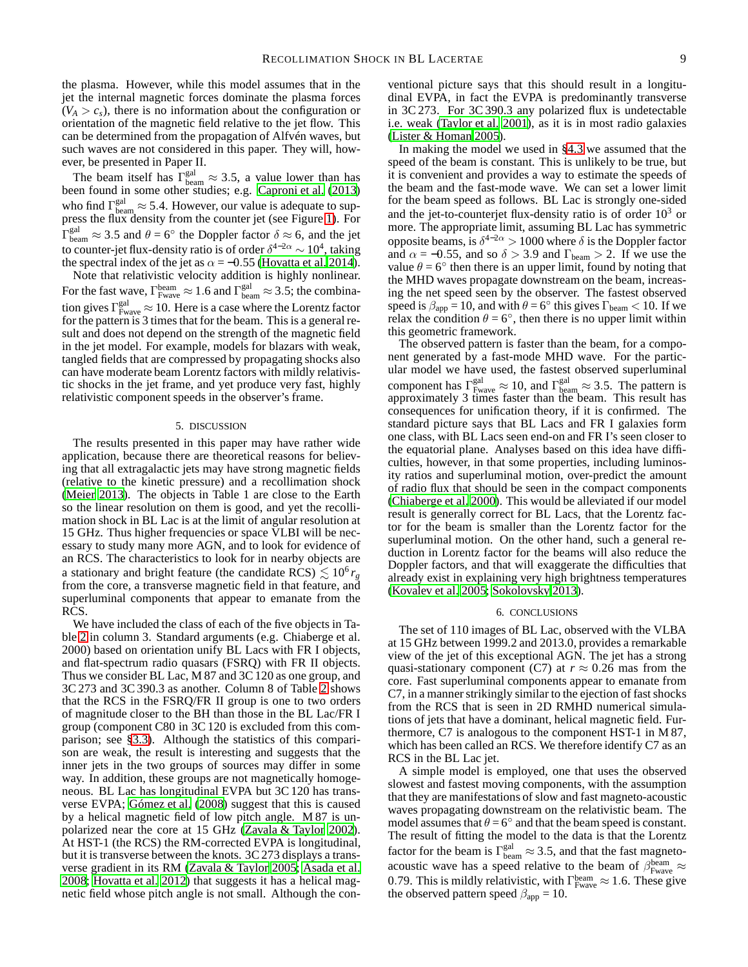the plasma. However, while this model assumes that in the jet the internal magnetic forces dominate the plasma forces  $(V_A > c_s)$ , there is no information about the configuration or orientation of the magnetic field relative to the jet flow. This can be determined from the propagation of Alfvén waves, but such waves are not considered in this paper. They will, however, be presented in Paper II.

The beam itself has  $\Gamma_{\text{beam}}^{\text{gal}} \approx 3.5$ , a value lower than has been found in some other studies; e.g. [Caproni et al. \(2013\)](#page-9-5) who find  $\Gamma_{\text{beam}}^{\text{gal}} \approx 5.4$ . However, our value is adequate to suppress the flux density from the counter jet (see Figure [1\)](#page-1-1). For  $\Gamma_{\text{beam}}^{\text{gal}} \approx 3.5$  and  $\theta = 6^{\circ}$  the Doppler factor  $\delta \approx 6$ , and the jet to counter-jet flux-density ratio is of order  $\delta^{4-2\alpha} \sim 10^4$ , taking the spectral index of the jet as  $\alpha = -0.55$  [\(Hovatta et al. 2014\)](#page-9-51).

Note that relativistic velocity addition is highly nonlinear. For the fast wave,  $\Gamma_{\text{Fwave}}^{\text{beam}} \approx 1.6$  and  $\Gamma_{\text{beam}}^{\text{gal}} \approx 3.5$ ; the combination gives  $\Gamma_{\text{Fwave}}^{\text{gal}} \approx 10$ . Here is a case where the Lorentz factor for the pattern is 3 times that for the beam. This is a general result and does not depend on the strength of the magnetic field in the jet model. For example, models for blazars with weak, tangled fields that are compressed by propagating shocks also can have moderate beam Lorentz factors with mildly relativistic shocks in the jet frame, and yet produce very fast, highly relativistic component speeds in the observer's frame.

### 5. DISCUSSION

<span id="page-8-0"></span>The results presented in this paper may have rather wide application, because there are theoretical reasons for believing that all extragalactic jets may have strong magnetic fields (relative to the kinetic pressure) and a recollimation shock [\(Meier 2013](#page-9-43)). The objects in Table 1 are close to the Earth so the linear resolution on them is good, and yet the recollimation shock in BL Lac is at the limit of angular resolution at 15 GHz. Thus higher frequencies or space VLBI will be necessary to study many more AGN, and to look for evidence of an RCS. The characteristics to look for in nearby objects are a stationary and bright feature (the candidate RCS)  $\lesssim 10^6 r_g$ from the core, a transverse magnetic field in that feature, and superluminal components that appear to emanate from the RCS.

We have included the class of each of the five objects in Table [2](#page-5-1) in column 3. Standard arguments (e.g. Chiaberge et al. 2000) based on orientation unify BL Lacs with FR I objects, and flat-spectrum radio quasars (FSRQ) with FR II objects. Thus we consider BL Lac, M 87 and 3C 120 as one group, and 3C 273 and 3C 390.3 as another. Column 8 of Table [2](#page-5-1) shows that the RCS in the FSRQ/FR II group is one to two orders of magnitude closer to the BH than those in the BL Lac/FR I group (component C80 in 3C 120 is excluded from this comparison; see [§3.3\)](#page-6-1). Although the statistics of this comparison are weak, the result is interesting and suggests that the inner jets in the two groups of sources may differ in some way. In addition, these groups are not magnetically homogeneous. BL Lac has longitudinal EVPA but 3C 120 has transverse EVPA; [Gómez et al. \(2008\)](#page-9-52) suggest that this is caused by a helical magnetic field of low pitch angle. M 87 is unpolarized near the core at 15 GHz [\(Zavala & Taylor 2002\)](#page-9-53). At HST-1 (the RCS) the RM-corrected EVPA is longitudinal, but it is transverse between the knots. 3C 273 displays a transverse gradient in its RM [\(Zavala & Taylor 2005;](#page-9-16) [Asada et al.](#page-9-54) [2008;](#page-9-54) [Hovatta et al. 2012\)](#page-9-14) that suggests it has a helical magnetic field whose pitch angle is not small. Although the con-

ventional picture says that this should result in a longitudinal EVPA, in fact the EVPA is predominantly transverse in 3C 273. For 3C 390.3 any polarized flux is undetectable i.e. weak [\(Taylor et al. 2001\)](#page-9-55), as it is in most radio galaxies [\(Lister & Homan 2005\)](#page-9-9).

In making the model we used in [§4.3](#page-7-3) we assumed that the speed of the beam is constant. This is unlikely to be true, but it is convenient and provides a way to estimate the speeds of the beam and the fast-mode wave. We can set a lower limit for the beam speed as follows. BL Lac is strongly one-sided and the jet-to-counterjet flux-density ratio is of order  $10<sup>3</sup>$  or more. The appropriate limit, assuming BL Lac has symmetric opposite beams, is  $\delta^{4-2\alpha} > 1000$  where  $\delta$  is the Doppler factor and  $\alpha = -0.55$ , and so  $\delta > 3.9$  and  $\Gamma_{\text{beam}} > 2$ . If we use the value  $\theta = 6^\circ$  then there is an upper limit, found by noting that the MHD waves propagate downstream on the beam, increasing the net speed seen by the observer. The fastest observed speed is  $\beta_{app} = 10$ , and with  $\theta = 6^\circ$  this gives  $\Gamma_{\text{beam}} < 10$ . If we relax the condition  $\theta = 6^\circ$ , then there is no upper limit within this geometric framework.

The observed pattern is faster than the beam, for a component generated by a fast-mode MHD wave. For the particular model we have used, the fastest observed superluminal component has  $\Gamma_{\text{Fwave}}^{\text{gal}} \approx 10$ , and  $\Gamma_{\text{beam}}^{\text{gal}} \approx 3.5$ . The pattern is approximately 3 times faster than the beam. This result has consequences for unification theory, if it is confirmed. The standard picture says that BL Lacs and FR I galaxies form one class, with BL Lacs seen end-on and FR I's seen closer to the equatorial plane. Analyses based on this idea have difficulties, however, in that some properties, including luminosity ratios and superluminal motion, over-predict the amount of radio flux that should be seen in the compact components [\(Chiaberge et al. 2000\)](#page-9-56). This would be alleviated if our model result is generally correct for BL Lacs, that the Lorentz factor for the beam is smaller than the Lorentz factor for the superluminal motion. On the other hand, such a general reduction in Lorentz factor for the beams will also reduce the Doppler factors, and that will exaggerate the difficulties that already exist in explaining very high brightness temperatures [\(Kovalev et al. 2005;](#page-9-57) [Sokolovsky 2013\)](#page-9-58).

#### 6. CONCLUSIONS

<span id="page-8-1"></span>The set of 110 images of BL Lac, observed with the VLBA at 15 GHz between 1999.2 and 2013.0, provides a remarkable view of the jet of this exceptional AGN. The jet has a strong quasi-stationary component (C7) at  $r \approx 0.26$  mas from the core. Fast superluminal components appear to emanate from C7, in a manner strikingly similar to the ejection of fast shocks from the RCS that is seen in 2D RMHD numerical simulations of jets that have a dominant, helical magnetic field. Furthermore, C7 is analogous to the component HST-1 in M 87, which has been called an RCS. We therefore identify C7 as an RCS in the BL Lac jet.

A simple model is employed, one that uses the observed slowest and fastest moving components, with the assumption that they are manifestations of slow and fast magneto-acoustic waves propagating downstream on the relativistic beam. The model assumes that  $\theta = 6^\circ$  and that the beam speed is constant. The result of fitting the model to the data is that the Lorentz factor for the beam is  $\Gamma_{\text{beam}}^{\text{gal}} \approx 3.5$ , and that the fast magnetoacoustic wave has a speed relative to the beam of  $\beta_{\text{Fwave}}^{\text{beam}} \approx$ 0.79. This is mildly relativistic, with  $\Gamma_{\text{Fwave}}^{\text{beam}} \approx 1.6$ . These give the observed pattern speed  $\beta_{\rm app} = 10.$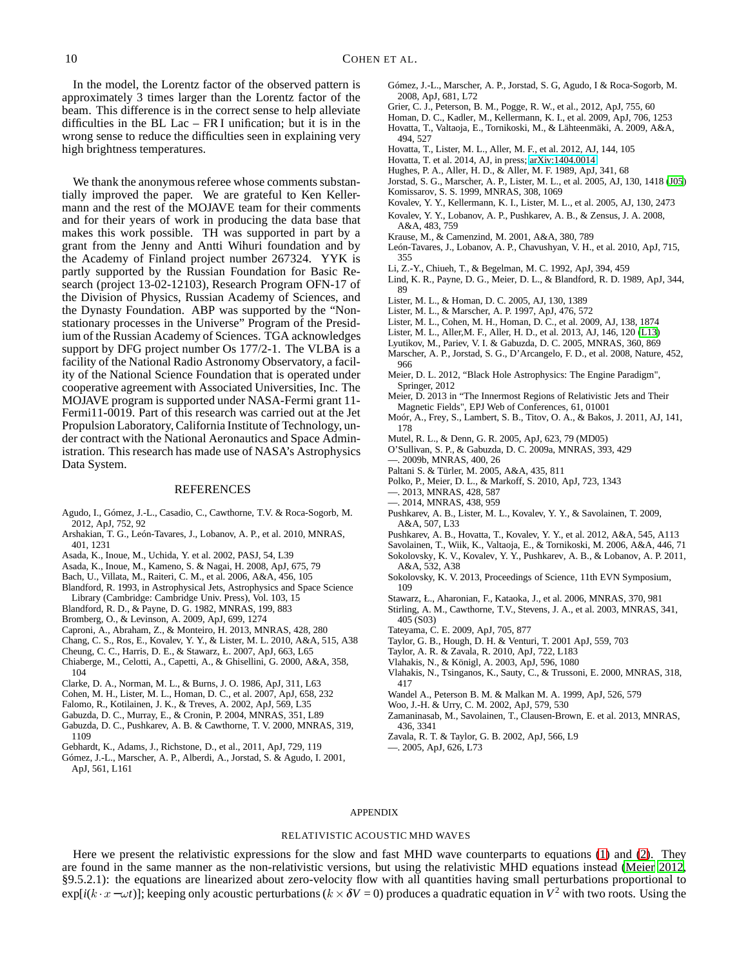In the model, the Lorentz factor of the observed pattern is approximately 3 times larger than the Lorentz factor of the beam. This difference is in the correct sense to help alleviate difficulties in the BL Lac – FR I unification; but it is in the wrong sense to reduce the difficulties seen in explaining very high brightness temperatures.

We thank the anonymous referee whose comments substantially improved the paper. We are grateful to Ken Kellermann and the rest of the MOJAVE team for their comments and for their years of work in producing the data base that makes this work possible. TH was supported in part by a grant from the Jenny and Antti Wihuri foundation and by the Academy of Finland project number 267324. YYK is partly supported by the Russian Foundation for Basic Research (project 13-02-12103), Research Program OFN-17 of the Division of Physics, Russian Academy of Sciences, and the Dynasty Foundation. ABP was supported by the "Nonstationary processes in the Universe" Program of the Presidium of the Russian Academy of Sciences. TGA acknowledges support by DFG project number Os 177/2-1. The VLBA is a facility of the National Radio Astronomy Observatory, a facility of the National Science Foundation that is operated under cooperative agreement with Associated Universities, Inc. The MOJAVE program is supported under NASA-Fermi grant 11- Fermi11-0019. Part of this research was carried out at the Jet Propulsion Laboratory, California Institute of Technology, under contract with the National Aeronautics and Space Administration. This research has made use of NASA's Astrophysics Data System.

# REFERENCES

- <span id="page-9-31"></span>Agudo, I., Gómez, J.-L., Casadio, C., Cawthorne, T.V. & Roca-Sogorb, M. 2012, ApJ, 752, 92
- <span id="page-9-34"></span>Arshakian, T. G., León-Tavares, J., Lobanov, A. P., et al. 2010, MNRAS, 401, 1231
- <span id="page-9-15"></span>Asada, K., Inoue, M., Uchida, Y. et al. 2002, PASJ, 54, L39
- <span id="page-9-54"></span>Asada, K., Inoue, M., Kameno, S. & Nagai, H. 2008, ApJ, 675, 79
- <span id="page-9-24"></span>Bach, U., Villata, M., Raiteri, C. M., et al. 2006, A&A, 456, 105
- <span id="page-9-11"></span>Blandford, R. 1993, in Astrophysical Jets, Astrophysics and Space Science Library (Cambridge: Cambridge Univ. Press), Vol. 103, 15
- <span id="page-9-35"></span>Blandford, R. D., & Payne, D. G. 1982, MNRAS, 199, 883
- <span id="page-9-46"></span>Bromberg, O., & Levinson, A. 2009, ApJ, 699, 1274
- <span id="page-9-5"></span>Caproni, A., Abraham, Z., & Monteiro, H. 2013, MNRAS, 428, 280
- <span id="page-9-44"></span>Chang, C. S., Ros, E., Kovalev, Y. Y., & Lister, M. L. 2010, A&A, 515, A38
- <span id="page-9-27"></span>Cheung, C. C., Harris, D. E., & Stawarz, Ł. 2007, ApJ, 663, L65
- <span id="page-9-56"></span>Chiaberge, M., Celotti, A., Capetti, A., & Ghisellini, G. 2000, A&A, 358,
- 104
- <span id="page-9-39"></span>Clarke, D. A., Norman, M. L., & Burns, J. O. 1986, ApJ, 311, L63
- <span id="page-9-2"></span>Cohen, M. H., Lister, M. L., Homan, D. C., et al. 2007, ApJ, 658, 232
- <span id="page-9-47"></span>Falomo, R., Kotilainen, J. K., & Treves, A. 2002, ApJ, 569, L35
- <span id="page-9-12"></span>Gabuzda, D. C., Murray, E., & Cronin, P. 2004, MNRAS, 351, L89
- <span id="page-9-8"></span>Gabuzda, D. C., Pushkarev, A. B. & Cawthorne, T. V. 2000, MNRAS, 319, 1109
- <span id="page-9-28"></span>Gebhardt, K., Adams, J., Richstone, D., et al., 2011, ApJ, 729, 119
- <span id="page-9-48"></span>Gómez, J.-L., Marscher, A. P., Alberdi, A., Jorstad, S. & Agudo, I. 2001, ApJ, 561, L161
- <span id="page-9-52"></span>Gómez, J.-L., Marscher, A. P., Jorstad, S. G, Agudo, I & Roca-Sogorb, M. 2008, ApJ, 681, L72
- <span id="page-9-30"></span>Grier, C. J., Peterson, B. M., Pogge, R. W., et al., 2012, ApJ, 755, 60
- <span id="page-9-21"></span>Homan, D. C., Kadler, M., Kellermann, K. I., et al. 2009, ApJ, 706, 1253
- <span id="page-9-3"></span>Hovatta, T., Valtaoja, E., Tornikoski, M., & Lähteenmäki, A. 2009, A&A, 494, 527
- <span id="page-9-14"></span>Hovatta, T., Lister, M. L., Aller, M. F., et al. 2012, AJ, 144, 105
- <span id="page-9-51"></span>Hovatta, T. et al. 2014, AJ, in press; [arXiv:1404.0014](http://arxiv.org/abs/1404.0014)
- <span id="page-9-50"></span>Hughes, P. A., Aller, H. D., & Aller, M. F. 1989, ApJ, 341, 68
- <span id="page-9-4"></span>Jorstad, S. G., Marscher, A. P., Lister, M. L., et al. 2005, AJ, 130, 1418 [\(J05](#page-9-4)) Komissarov, S. S. 1999, MNRAS, 308, 1069
- <span id="page-9-57"></span><span id="page-9-40"></span>Kovalev, Y. Y., Kellermann, K. I., Lister, M. L., et al. 2005, AJ, 130, 2473
- Kovalev, Y. Y., Lobanov, A. P., Pushkarev, A. B., & Zensus, J. A. 2008,
- A&A, 483, 759
- <span id="page-9-41"></span>Krause, M., & Camenzind, M. 2001, A&A, 380, 789
- <span id="page-9-29"></span>León-Tavares, J., Lobanov, A. P., Chavushyan, V. H., et al. 2010, ApJ, 715, 355
- <span id="page-9-36"></span>Li, Z.-Y., Chiueh, T., & Begelman, M. C. 1992, ApJ, 394, 459
- <span id="page-9-22"></span>Lind, K. R., Payne, D. G., Meier, D. L., & Blandford, R. D. 1989, ApJ, 344, 89
- <span id="page-9-9"></span>Lister, M. L., & Homan, D. C. 2005, AJ, 130, 1389
- <span id="page-9-1"></span>Lister, M. L., & Marscher, A. P. 1997, ApJ, 476, 572
- Lister, M. L., Cohen, M. H., Homan, D. C., et al. 2009, AJ, 138, 1874
- <span id="page-9-0"></span>Lister, M. L., Aller,M. F., Aller, H. D., et al. 2013, AJ, 146, 120 [\(L13\)](#page-9-0)
- <span id="page-9-10"></span>Lyutikov, M., Pariev, V. I. & Gabuzda, D. C. 2005, MNRAS, 360, 869
- <span id="page-9-23"></span>Marscher, A. P., Jorstad, S. G., D'Arcangelo, F. D., et al. 2008, Nature, 452, 966
- <span id="page-9-42"></span>Meier, D. L. 2012, "Black Hole Astrophysics: The Engine Paradigm", Springer, 2012
- <span id="page-9-43"></span>Meier, D. 2013 in "The Innermost Regions of Relativistic Jets and Their Magnetic Fields", EPJ Web of Conferences, 61, 01001
- <span id="page-9-20"></span>Moór, A., Frey, S., Lambert, S. B., Titov, O. A., & Bakos, J. 2011, AJ, 141, 178
- <span id="page-9-7"></span>Mutel, R. L., & Denn, G. R. 2005, ApJ, 623, 79 (MD05)
- <span id="page-9-18"></span>O'Sullivan, S. P., & Gabuzda, D. C. 2009a, MNRAS, 393, 429 —. 2009b, MNRAS, 400, 26
- <span id="page-9-32"></span>Paltani S. & Türler, M. 2005, A&A, 435, 811
- Polko, P., Meier, D. L., & Markoff, S. 2010, ApJ, 723, 1343
- —. 2013, MNRAS, 428, 587
- —. 2014, MNRAS, 438, 959
- Pushkarev, A. B., Lister, M. L., Kovalev, Y. Y., & Savolainen, T. 2009, A&A, 507, L33
- <span id="page-9-19"></span>Pushkarev, A. B., Hovatta, T., Kovalev, Y. Y., et al. 2012, A&A, 545, A113
- <span id="page-9-49"></span>Savolainen, T., Wiik, K., Valtaoja, E., & Tornikoski, M. 2006, A&A, 446, 71
- Sokolovsky, K. V., Kovalev, Y. Y., Pushkarev, A. B., & Lobanov, A. P. 2011, A&A, 532, A38
- <span id="page-9-58"></span>Sokolovsky, K. V. 2013, Proceedings of Science, 11th EVN Symposium, 109
- <span id="page-9-45"></span>Stawarz, Ł., Aharonian, F., Kataoka, J., et al. 2006, MNRAS, 370, 981
- <span id="page-9-6"></span>Stirling, A. M., Cawthorne, T.V., Stevens, J. A., et al. 2003, MNRAS, 341, 405 (S03)
- <span id="page-9-25"></span>Tateyama, C. E. 2009, ApJ, 705, 877
- <span id="page-9-55"></span>Taylor, G. B., Hough, D. H. & Venturi, T. 2001 ApJ, 559, 703
- <span id="page-9-13"></span>Taylor, A. R. & Zavala, R. 2010, ApJ, 722, L183
- <span id="page-9-37"></span>Vlahakis, N., & Königl, A. 2003, ApJ, 596, 1080
- <span id="page-9-38"></span>Vlahakis, N., Tsinganos, K., Sauty, C., & Trussoni, E. 2000, MNRAS, 318, 417
- <span id="page-9-33"></span>Wandel A., Peterson B. M. & Malkan M. A. 1999, ApJ, 526, 579
- <span id="page-9-26"></span>Woo, J.-H. & Urry, C. M. 2002, ApJ, 579, 530
- <span id="page-9-17"></span>Zamaninasab, M., Savolainen, T., Clausen-Brown, E. et al. 2013, MNRAS, 436, 3341
- <span id="page-9-53"></span>Zavala, R. T. & Taylor, G. B. 2002, ApJ, 566, L9
- <span id="page-9-16"></span>—. 2005, ApJ, 626, L73

# APPENDIX

## RELATIVISTIC ACOUSTIC MHD WAVES

Here we present the relativistic expressions for the slow and fast MHD wave counterparts to equations [\(1\)](#page-6-2) and [\(2\)](#page-7-0). They are found in the same manner as the non-relativistic versions, but using the relativistic MHD equations instead [\(Meier 2012,](#page-9-42) §9.5.2.1): the equations are linearized about zero-velocity flow with all quantities having small perturbations proportional to  $exp[i(k \cdot x - \omega t)]$ ; keeping only acoustic perturbations ( $k \times \delta V = 0$ ) produces a quadratic equation in  $V^2$  with two roots. Using the